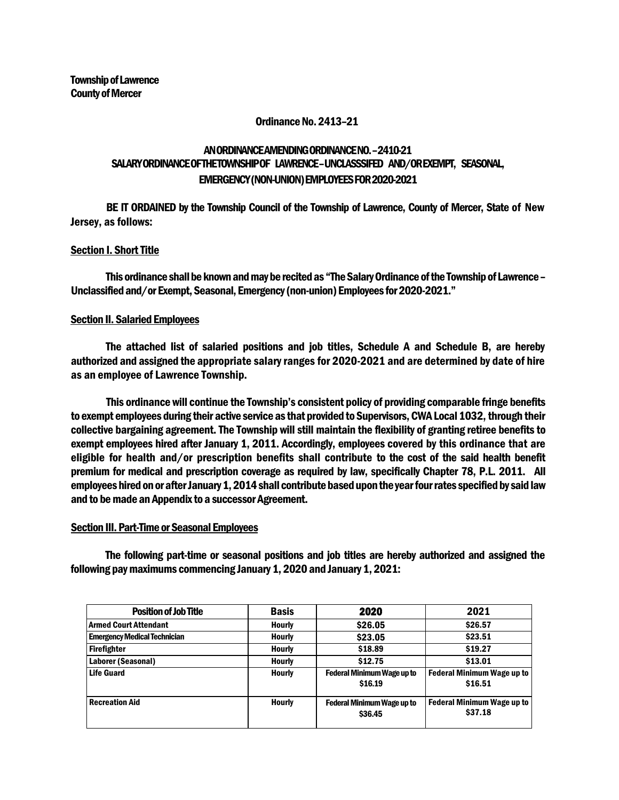#### Ordinance No. 2413–21

# AN ORDINANCE AMENDING ORDINANCE NO. –2410-21 SALARYORDINANCE OFTHETOWNSHIPOF LAWRENCE–UNCLASSSIFED AND/OR EXEMPT, SEASONAL, EMERGENCY (NON-UNION) EMPLOYEES FOR 2020-2021

BE IT ORDAINED by the Township Council of the Township of Lawrence, County of Mercer, State of New Jersey, as follows:

# Section I. Short Title

This ordinance shall be known and may be recited as "The Salary Ordinance of the Township of Lawrence – Unclassified and/or Exempt, Seasonal, Emergency (non-union) Employees for 2020-2021."

#### Section II. Salaried Employees

The attached list of salaried positions and job titles, Schedule A and Schedule B, are hereby authorized and assigned the appropriate salary ranges for 2020-2021 and are determined by date of hire as an employee of Lawrence Township.

This ordinance will continue the Township's consistent policy of providing comparable fringe benefits to exempt employees during their active service as that provided to Supervisors, CWA Local 1032, through their collective bargaining agreement. The Township will still maintain the flexibility of granting retiree benefits to exempt employees hired after January 1, 2011. Accordingly, employees covered by this ordinance that are eligible for health and/or prescription benefits shall contribute to the cost of the said health benefit premium for medical and prescription coverage as required by law, specifically Chapter 78, P.L. 2011. All employees hired on or after January 1, 2014 shall contribute based upon the year four rates specified by said law and to be made an Appendix to a successor Agreement.

### Section III. Part-Time or Seasonal Employees

The following part-time or seasonal positions and job titles are hereby authorized and assigned the following pay maximums commencing January 1, 2020 and January 1, 2021:

| <b>Position of Job Title</b>        | <b>Basis</b>  | 2020                                         | 2021                                         |  |
|-------------------------------------|---------------|----------------------------------------------|----------------------------------------------|--|
| Armed Court Attendant               | <b>Hourly</b> | \$26.05                                      | \$26.57                                      |  |
| <b>Emergency Medical Technician</b> | <b>Hourly</b> | \$23.05                                      | \$23.51                                      |  |
| Firefighter                         | Hourly        | \$18.89                                      | \$19.27                                      |  |
| Laborer (Seasonal)                  | <b>Hourly</b> | \$12.75                                      | \$13.01                                      |  |
| <b>Life Guard</b>                   | <b>Hourly</b> | <b>Federal Minimum Wage up to</b><br>\$16.19 | <b>Federal Minimum Wage up to</b><br>\$16.51 |  |
| l Recreation Aid                    | <b>Hourly</b> | <b>Federal Minimum Wage up to</b><br>\$36.45 | <b>Federal Minimum Wage up to</b><br>\$37.18 |  |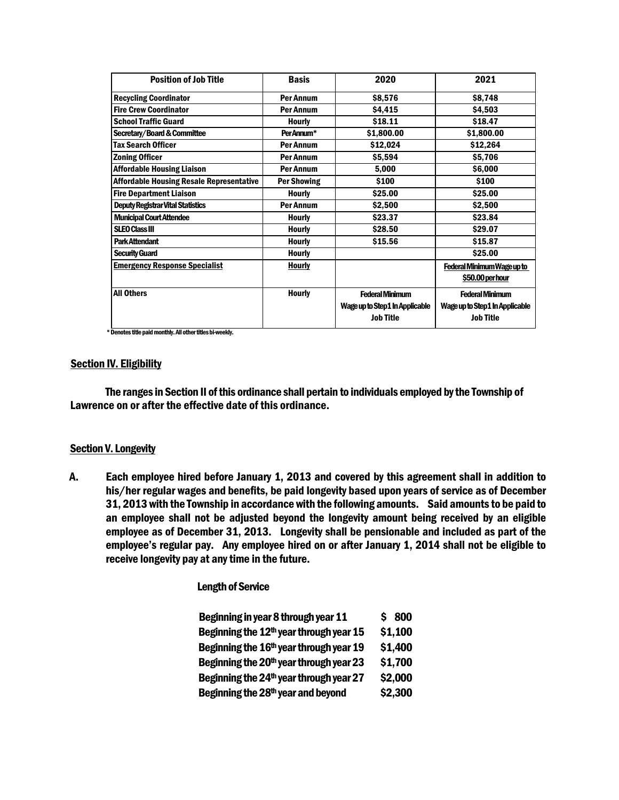| <b>Position of Job Title</b>                    | <b>Basis</b>       | 2020                           | 2021                           |  |
|-------------------------------------------------|--------------------|--------------------------------|--------------------------------|--|
| <b>Recycling Coordinator</b>                    | Per Annum          | \$8,576                        | \$8,748                        |  |
| <b>Fire Crew Coordinator</b>                    | Per Annum          | \$4,415                        | \$4,503                        |  |
| <b>School Traffic Guard</b>                     | <b>Hourly</b>      | \$18.11                        | \$18.47                        |  |
| <b>Secretary/Board &amp; Committee</b>          | Per Annum*         | \$1,800.00                     | \$1,800.00                     |  |
| <b>Tax Search Officer</b>                       | Per Annum          | \$12,024                       | \$12,264                       |  |
| <b>Zoning Officer</b>                           | Per Annum          | \$5,594                        | \$5,706                        |  |
| <b>Affordable Housing Liaison</b>               | <b>Per Annum</b>   | 5,000                          | \$6,000                        |  |
| <b>Affordable Housing Resale Representative</b> | <b>Per Showing</b> | \$100                          | \$100                          |  |
| <b>Fire Department Liaison</b>                  | <b>Hourly</b>      | \$25.00                        | \$25.00                        |  |
| <b>Deputy Registrar Vital Statistics</b>        | Per Annum          | \$2,500                        | \$2,500                        |  |
| <b>Municipal Court Attendee</b>                 | <b>Hourly</b>      | \$23.37                        | \$23.84                        |  |
| <b>SLEO Class III</b>                           | <b>Hourly</b>      | \$28.50                        | \$29.07                        |  |
| <b>Park Attendant</b>                           | <b>Hourly</b>      | \$15.56                        | \$15.87                        |  |
| <b>Security Guard</b>                           | <b>Hourly</b>      |                                | \$25.00                        |  |
| <b>Emergency Response Specialist</b>            | <b>Hourly</b>      |                                | Federal Minimum Wage up to     |  |
|                                                 |                    |                                | \$50.00 per hour               |  |
| <b>All Others</b>                               | <b>Hourly</b>      | <b>Federal Minimum</b>         | <b>Federal Minimum</b>         |  |
|                                                 |                    | Wage up to Step1 In Applicable | Wage up to Step1 In Applicable |  |
|                                                 |                    | <b>Job Title</b>               | <b>Job Title</b>               |  |
|                                                 |                    |                                |                                |  |

\* Denotes title paid monthly. All other titles bi-weekly.

#### **Section IV. Eligibility**

The ranges in Section II of this ordinance shall pertain to individuals employed by the Township of Lawrence on or after the effective date of this ordinance.

#### **Section V. Longevity**

A. Each employee hired before January 1, 2013 and covered by this agreement shall in addition to his/her regular wages and benefits, be paid longevity based upon years of service as of December 31, 2013 with the Township in accordance with the following amounts. Said amounts to be paid to an employee shall not be adjusted beyond the longevity amount being received by an eligible employee as of December 31, 2013. Longevity shall be pensionable and included as part of the employee's regular pay. Any employee hired on or after January 1, 2014 shall not be eligible to receive longevity pay at any time in the future.

#### Length of Service

| Beginning in year 8 through year 11                 | \$800   |
|-----------------------------------------------------|---------|
| Beginning the 12 <sup>th</sup> year through year 15 | \$1,100 |
| Beginning the 16 <sup>th</sup> year through year 19 | \$1,400 |
| Beginning the 20 <sup>th</sup> year through year 23 | \$1,700 |
| Beginning the 24 <sup>th</sup> year through year 27 | \$2,000 |
| Beginning the 28th year and beyond                  | \$2,300 |